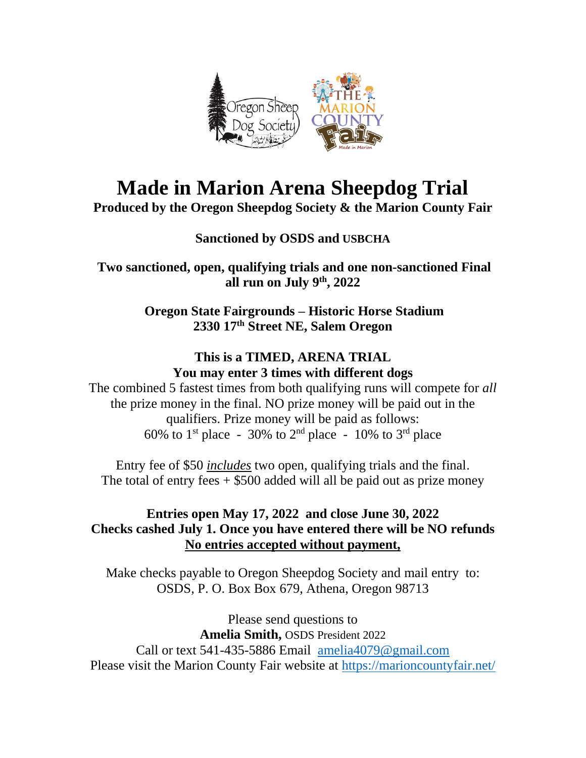

# **Made in Marion Arena Sheepdog Trial**

**Produced by the Oregon Sheepdog Society & the Marion County Fair**

### **Sanctioned by OSDS and USBCHA**

**Two sanctioned, open, qualifying trials and one non-sanctioned Final all run on July 9th, 2022**

> **Oregon State Fairgrounds – Historic Horse Stadium 2330 17th Street NE, Salem Oregon**

#### **This is a TIMED, ARENA TRIAL You may enter 3 times with different dogs**

The combined 5 fastest times from both qualifying runs will compete for *all* the prize money in the final. NO prize money will be paid out in the qualifiers. Prize money will be paid as follows: 60% to 1<sup>st</sup> place - 30% to 2<sup>nd</sup> place - 10% to 3<sup>rd</sup> place

Entry fee of \$50 *includes* two open, qualifying trials and the final. The total of entry fees  $+$  \$500 added will all be paid out as prize money

#### **Entries open May 17, 2022 and close June 30, 2022 Checks cashed July 1. Once you have entered there will be NO refunds No entries accepted without payment,**

Make checks payable to Oregon Sheepdog Society and mail entry to: OSDS, P. O. Box Box 679, Athena, Oregon 98713

Please send questions to **Amelia Smith,** OSDS President 2022 Call or text 541-435-5886 Email [amelia4079@gmail.com](mailto:amelia4079@gmail.com) Please visit the Marion County Fair website at<https://marioncountyfair.net/>